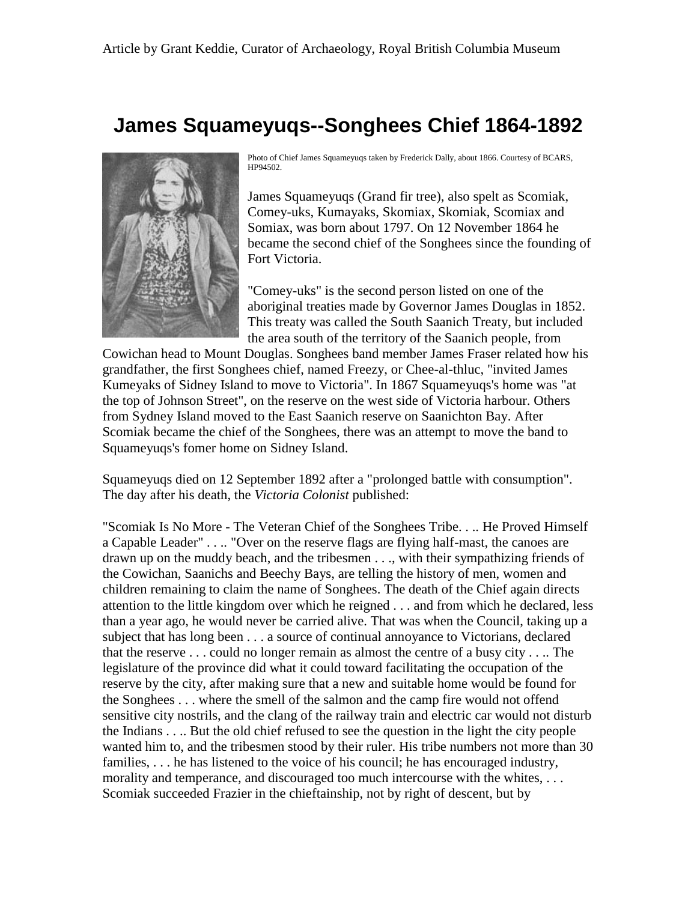## **James Squameyuqs--Songhees Chief 1864-1892**



Photo of Chief James Squameyuqs taken by Frederick Dally, about 1866. Courtesy of BCARS, HP94502.

James Squameyuqs (Grand fir tree), also spelt as Scomiak, Comey-uks, Kumayaks, Skomiax, Skomiak, Scomiax and Somiax, was born about 1797. On 12 November 1864 he became the second chief of the Songhees since the founding of Fort Victoria.

"Comey-uks" is the second person listed on one of the aboriginal treaties made by Governor James Douglas in 1852. This treaty was called the South Saanich Treaty, but included the area south of the territory of the Saanich people, from

Cowichan head to Mount Douglas. Songhees band member James Fraser related how his grandfather, the first Songhees chief, named Freezy, or Chee-al-thluc, "invited James Kumeyaks of Sidney Island to move to Victoria". In 1867 Squameyuqs's home was "at the top of Johnson Street", on the reserve on the west side of Victoria harbour. Others from Sydney Island moved to the East Saanich reserve on Saanichton Bay. After Scomiak became the chief of the Songhees, there was an attempt to move the band to Squameyuqs's fomer home on Sidney Island.

Squameyuqs died on 12 September 1892 after a "prolonged battle with consumption". The day after his death, the *Victoria Colonist* published:

"Scomiak Is No More - The Veteran Chief of the Songhees Tribe. . .. He Proved Himself a Capable Leader" . . .. "Over on the reserve flags are flying half-mast, the canoes are drawn up on the muddy beach, and the tribesmen . . ., with their sympathizing friends of the Cowichan, Saanichs and Beechy Bays, are telling the history of men, women and children remaining to claim the name of Songhees. The death of the Chief again directs attention to the little kingdom over which he reigned . . . and from which he declared, less than a year ago, he would never be carried alive. That was when the Council, taking up a subject that has long been . . . a source of continual annoyance to Victorians, declared that the reserve . . . could no longer remain as almost the centre of a busy city . . .. The legislature of the province did what it could toward facilitating the occupation of the reserve by the city, after making sure that a new and suitable home would be found for the Songhees . . . where the smell of the salmon and the camp fire would not offend sensitive city nostrils, and the clang of the railway train and electric car would not disturb the Indians . . .. But the old chief refused to see the question in the light the city people wanted him to, and the tribesmen stood by their ruler. His tribe numbers not more than 30 families, ... he has listened to the voice of his council; he has encouraged industry, morality and temperance, and discouraged too much intercourse with the whites, ... Scomiak succeeded Frazier in the chieftainship, not by right of descent, but by